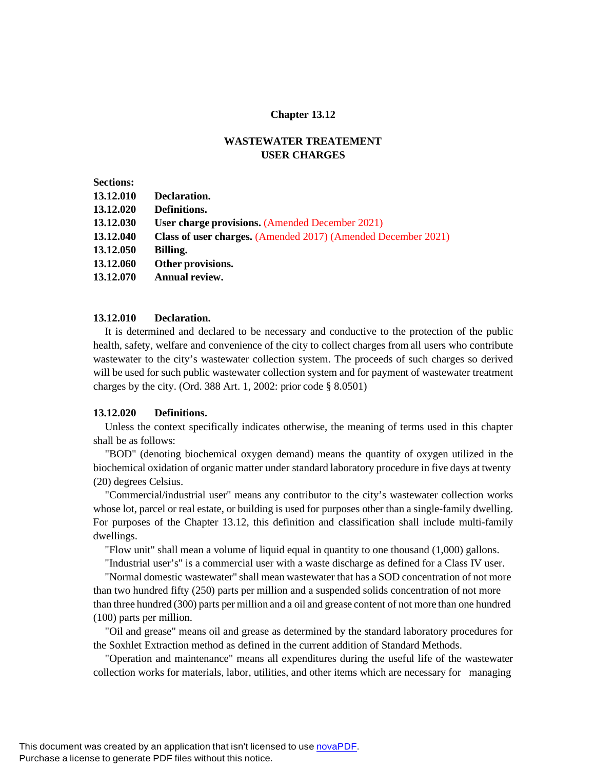#### **Chapter 13.12**

## **WASTEWATER TREATEMENT USER CHARGES**

| <b>Sections:</b> |                                                               |
|------------------|---------------------------------------------------------------|
| 13.12.010        | Declaration.                                                  |
| 13.12.020        | Definitions.                                                  |
| 13.12.030        | User charge provisions. (Amended December 2021)               |
| 13.12.040        | Class of user charges. (Amended 2017) (Amended December 2021) |
| 13.12.050        | Billing.                                                      |
| 13.12.060        | Other provisions.                                             |
| 13.12.070        | Annual review.                                                |
|                  |                                                               |

### **13.12.010 Declaration.**

It is determined and declared to be necessary and conductive to the protection of the public health, safety, welfare and convenience of the city to collect charges from all users who contribute wastewater to the city's wastewater collection system. The proceeds of such charges so derived will be used for such public wastewater collection system and for payment of wastewater treatment charges by the city. (Ord. 388 Art. 1, 2002: prior code § 8.0501)

#### **13.12.020 Definitions.**

Unless the context specifically indicates otherwise, the meaning of terms used in this chapter shall be as follows:

"BOD" (denoting biochemical oxygen demand) means the quantity of oxygen utilized in the biochemical oxidation of organic matter under standard laboratory procedure in five days at twenty (20) degrees Celsius.

"Commercial/industrial user" means any contributor to the city's wastewater collection works whose lot, parcel or real estate, or building is used for purposes other than a single-family dwelling. For purposes of the Chapter 13.12, this definition and classification shall include multi-family dwellings.

"Flow unit" shall mean a volume of liquid equal in quantity to one thousand (1,000) gallons.

"Industrial user's" is a commercial user with a waste discharge as defined for a Class IV user.

"Normal domestic wastewater" shall mean wastewater that has a SOD concentration of not more than two hundred fifty (250) parts per million and a suspended solids concentration of not more than three hundred (300) parts per million and a oil and grease content of not more than one hundred (100) parts per million.

"Oil and grease" means oil and grease as determined by the standard laboratory procedures for the Soxhlet Extraction method as defined in the current addition of Standard Methods.

"Operation and maintenance" means all expenditures during the useful life of the wastewater collection works for materials, labor, utilities, and other items which are necessary for managing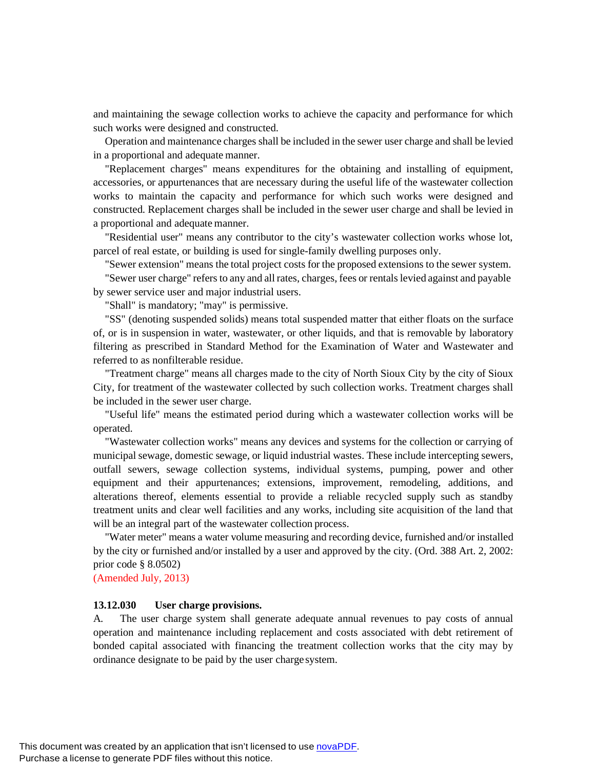and maintaining the sewage collection works to achieve the capacity and performance for which such works were designed and constructed.

Operation and maintenance charges shall be included in the sewer user charge and shall be levied in a proportional and adequate manner.

"Replacement charges" means expenditures for the obtaining and installing of equipment, accessories, or appurtenances that are necessary during the useful life of the wastewater collection works to maintain the capacity and performance for which such works were designed and constructed. Replacement charges shall be included in the sewer user charge and shall be levied in a proportional and adequate manner.

"Residential user" means any contributor to the city's wastewater collection works whose lot, parcel of real estate, or building is used for single-family dwelling purposes only.

"Sewer extension" means the total project costs for the proposed extensions to the sewer system.

"Sewer user charge" refers to any and all rates, charges, fees or rentalslevied against and payable by sewer service user and major industrial users.

"Shall" is mandatory; "may" is permissive.

"SS" (denoting suspended solids) means total suspended matter that either floats on the surface of, or is in suspension in water, wastewater, or other liquids, and that is removable by laboratory filtering as prescribed in Standard Method for the Examination of Water and Wastewater and referred to as nonfilterable residue.

"Treatment charge" means all charges made to the city of North Sioux City by the city of Sioux City, for treatment of the wastewater collected by such collection works. Treatment charges shall be included in the sewer user charge.

"Useful life" means the estimated period during which a wastewater collection works will be operated.

"Wastewater collection works" means any devices and systems for the collection or carrying of municipal sewage, domestic sewage, or liquid industrial wastes. These include intercepting sewers, outfall sewers, sewage collection systems, individual systems, pumping, power and other equipment and their appurtenances; extensions, improvement, remodeling, additions, and alterations thereof, elements essential to provide a reliable recycled supply such as standby treatment units and clear well facilities and any works, including site acquisition of the land that will be an integral part of the wastewater collection process.

"Water meter" means a water volume measuring and recording device, furnished and/or installed by the city or furnished and/or installed by a user and approved by the city. (Ord. 388 Art. 2, 2002: prior code § 8.0502)

(Amended July, 2013)

#### **13.12.030 User charge provisions.**

A. The user charge system shall generate adequate annual revenues to pay costs of annual operation and maintenance including replacement and costs associated with debt retirement of bonded capital associated with financing the treatment collection works that the city may by ordinance designate to be paid by the user chargesystem.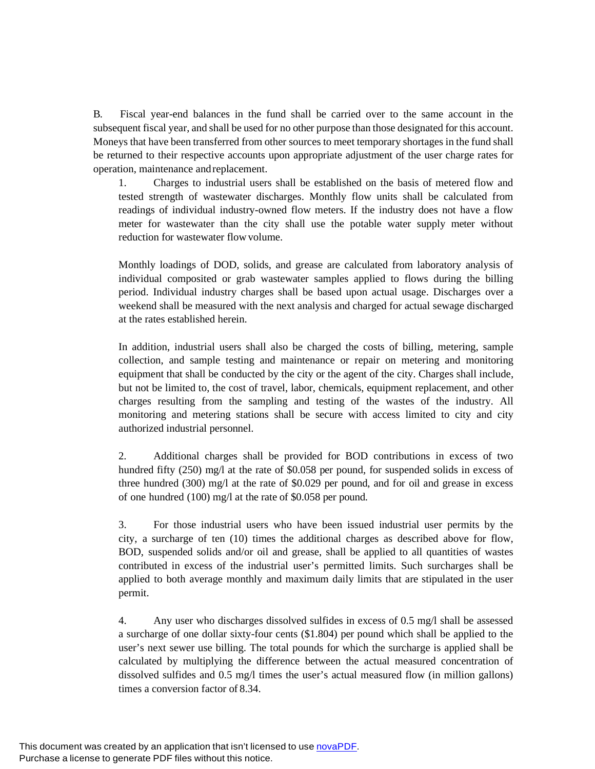B. Fiscal year-end balances in the fund shall be carried over to the same account in the subsequent fiscal year, and shall be used for no other purpose than those designated for this account. Moneys that have been transferred from other sources to meet temporary shortages in the fund shall be returned to their respective accounts upon appropriate adjustment of the user charge rates for operation, maintenance andreplacement.

1. Charges to industrial users shall be established on the basis of metered flow and tested strength of wastewater discharges. Monthly flow units shall be calculated from readings of individual industry-owned flow meters. If the industry does not have a flow meter for wastewater than the city shall use the potable water supply meter without reduction for wastewater flowvolume.

Monthly loadings of DOD, solids, and grease are calculated from laboratory analysis of individual composited or grab wastewater samples applied to flows during the billing period. Individual industry charges shall be based upon actual usage. Discharges over a weekend shall be measured with the next analysis and charged for actual sewage discharged at the rates established herein.

In addition, industrial users shall also be charged the costs of billing, metering, sample collection, and sample testing and maintenance or repair on metering and monitoring equipment that shall be conducted by the city or the agent of the city. Charges shall include, but not be limited to, the cost of travel, labor, chemicals, equipment replacement, and other charges resulting from the sampling and testing of the wastes of the industry. All monitoring and metering stations shall be secure with access limited to city and city authorized industrial personnel.

2. Additional charges shall be provided for BOD contributions in excess of two hundred fifty (250) mg/l at the rate of \$0.058 per pound, for suspended solids in excess of three hundred (300) mg/l at the rate of \$0.029 per pound, and for oil and grease in excess of one hundred (100) mg/l at the rate of \$0.058 per pound.

3. For those industrial users who have been issued industrial user permits by the city, a surcharge of ten (10) times the additional charges as described above for flow, BOD, suspended solids and/or oil and grease, shall be applied to all quantities of wastes contributed in excess of the industrial user's permitted limits. Such surcharges shall be applied to both average monthly and maximum daily limits that are stipulated in the user permit.

4. Any user who discharges dissolved sulfides in excess of 0.5 mg/l shall be assessed a surcharge of one dollar sixty-four cents (\$1.804) per pound which shall be applied to the user's next sewer use billing. The total pounds for which the surcharge is applied shall be calculated by multiplying the difference between the actual measured concentration of dissolved sulfides and 0.5 mg/l times the user's actual measured flow (in million gallons) times a conversion factor of 8.34.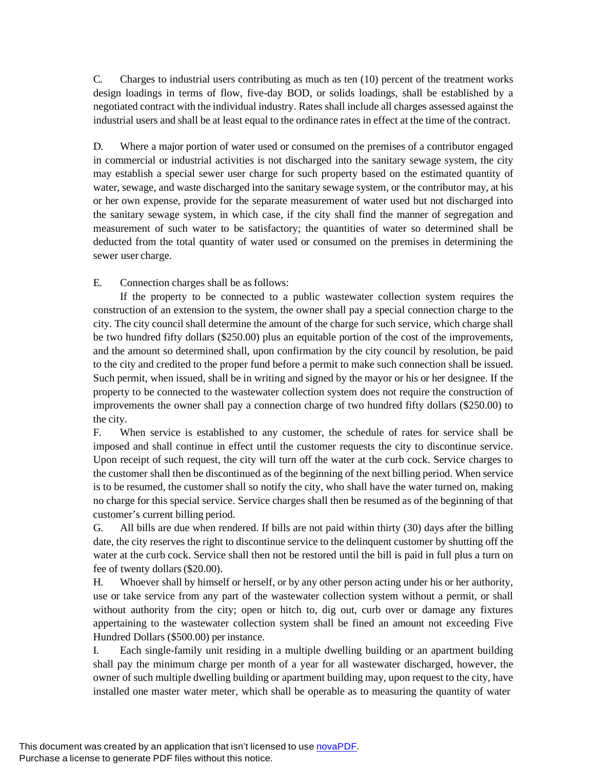C. Charges to industrial users contributing as much as ten (10) percent of the treatment works design loadings in terms of flow, five-day BOD, or solids loadings, shall be established by a negotiated contract with the individual industry. Rates shall include all charges assessed against the industrial users and shall be at least equal to the ordinance rates in effect at the time of the contract.

D. Where a major portion of water used or consumed on the premises of a contributor engaged in commercial or industrial activities is not discharged into the sanitary sewage system, the city may establish a special sewer user charge for such property based on the estimated quantity of water, sewage, and waste discharged into the sanitary sewage system, or the contributor may, at his or her own expense, provide for the separate measurement of water used but not discharged into the sanitary sewage system, in which case, if the city shall find the manner of segregation and measurement of such water to be satisfactory; the quantities of water so determined shall be deducted from the total quantity of water used or consumed on the premises in determining the sewer user charge.

E. Connection charges shall be as follows:

If the property to be connected to a public wastewater collection system requires the construction of an extension to the system, the owner shall pay a special connection charge to the city. The city council shall determine the amount of the charge for such service, which charge shall be two hundred fifty dollars (\$250.00) plus an equitable portion of the cost of the improvements, and the amount so determined shall, upon confirmation by the city council by resolution, be paid to the city and credited to the proper fund before a permit to make such connection shall be issued. Such permit, when issued, shall be in writing and signed by the mayor or his or her designee. If the property to be connected to the wastewater collection system does not require the construction of improvements the owner shall pay a connection charge of two hundred fifty dollars (\$250.00) to the city.

F. When service is established to any customer, the schedule of rates for service shall be imposed and shall continue in effect until the customer requests the city to discontinue service. Upon receipt of such request, the city will turn off the water at the curb cock. Service charges to the customer shall then be discontinued as of the beginning of the next billing period. When service is to be resumed, the customer shall so notify the city, who shall have the water turned on, making no charge for this special service. Service charges shall then be resumed as of the beginning of that customer's current billing period.

G. All bills are due when rendered. If bills are not paid within thirty (30) days after the billing date, the city reserves the right to discontinue service to the delinquent customer by shutting off the water at the curb cock. Service shall then not be restored until the bill is paid in full plus a turn on fee of twenty dollars (\$20.00).

H. Whoever shall by himself or herself, or by any other person acting under his or her authority, use or take service from any part of the wastewater collection system without a permit, or shall without authority from the city; open or hitch to, dig out, curb over or damage any fixtures appertaining to the wastewater collection system shall be fined an amount not exceeding Five Hundred Dollars (\$500.00) per instance.

I. Each single-family unit residing in a multiple dwelling building or an apartment building shall pay the minimum charge per month of a year for all wastewater discharged, however, the owner of such multiple dwelling building or apartment building may, upon request to the city, have installed one master water meter, which shall be operable as to measuring the quantity of water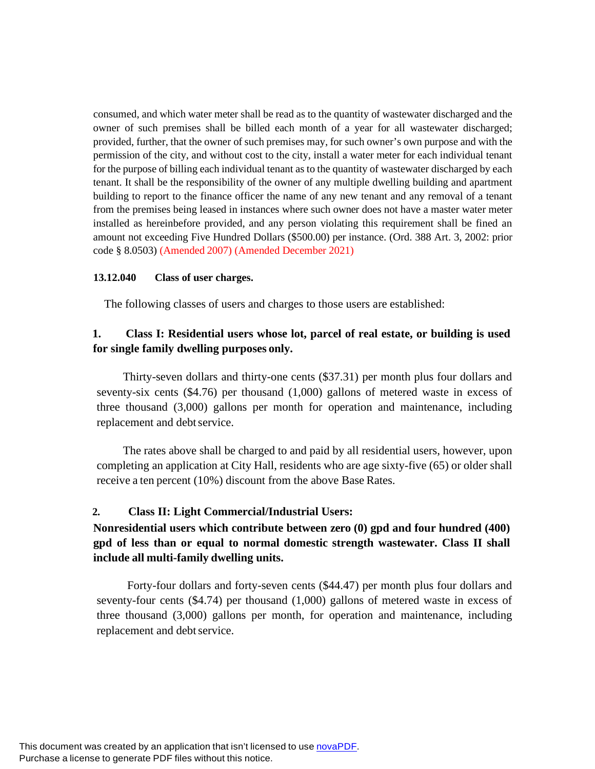consumed, and which water meter shall be read as to the quantity of wastewater discharged and the owner of such premises shall be billed each month of a year for all wastewater discharged; provided, further, that the owner of such premises may, for such owner's own purpose and with the permission of the city, and without cost to the city, install a water meter for each individual tenant for the purpose of billing each individual tenant as to the quantity of wastewater discharged by each tenant. It shall be the responsibility of the owner of any multiple dwelling building and apartment building to report to the finance officer the name of any new tenant and any removal of a tenant from the premises being leased in instances where such owner does not have a master water meter installed as hereinbefore provided, and any person violating this requirement shall be fined an amount not exceeding Five Hundred Dollars (\$500.00) per instance. (Ord. 388 Art. 3, 2002: prior code § 8.0503) (Amended 2007) (Amended December 2021)

## **13.12.040 Class of user charges.**

The following classes of users and charges to those users are established:

# **1. Class I: Residential users whose lot, parcel of real estate, or building is used for single family dwelling purposes only.**

Thirty-seven dollars and thirty-one cents (\$37.31) per month plus four dollars and seventy-six cents (\$4.76) per thousand (1,000) gallons of metered waste in excess of three thousand (3,000) gallons per month for operation and maintenance, including replacement and debt service.

The rates above shall be charged to and paid by all residential users, however, upon completing an application at City Hall, residents who are age sixty-five (65) or older shall receive a ten percent (10%) discount from the above Base Rates.

# **2. Class II: Light Commercial/Industrial Users:**

# **Nonresidential users which contribute between zero (0) gpd and four hundred (400) gpd of less than or equal to normal domestic strength wastewater. Class II shall include all multi-family dwelling units.**

Forty-four dollars and forty-seven cents (\$44.47) per month plus four dollars and seventy-four cents (\$4.74) per thousand (1,000) gallons of metered waste in excess of three thousand (3,000) gallons per month, for operation and maintenance, including replacement and debt service.